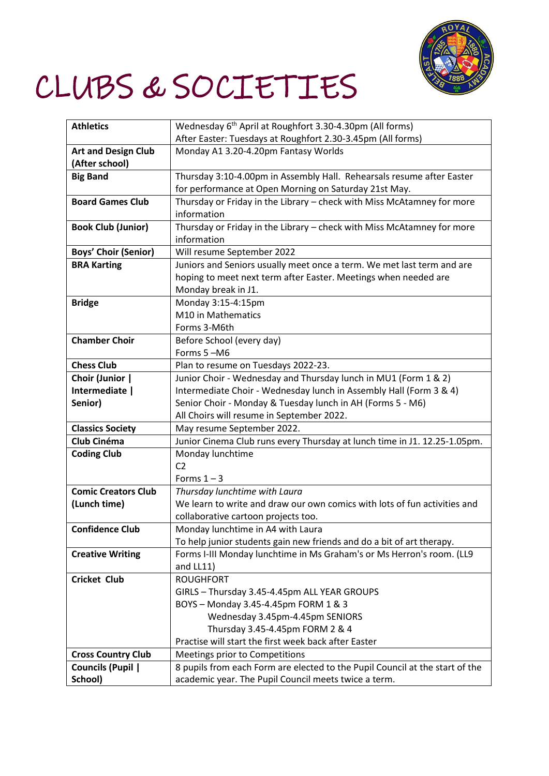

## CLUBS & SOCIETIES

| <b>Athletics</b>            | Wednesday 6 <sup>th</sup> April at Roughfort 3.30-4.30pm (All forms)         |
|-----------------------------|------------------------------------------------------------------------------|
|                             | After Easter: Tuesdays at Roughfort 2.30-3.45pm (All forms)                  |
| <b>Art and Design Club</b>  | Monday A1 3.20-4.20pm Fantasy Worlds                                         |
| (After school)              |                                                                              |
| <b>Big Band</b>             | Thursday 3:10-4.00pm in Assembly Hall. Rehearsals resume after Easter        |
|                             | for performance at Open Morning on Saturday 21st May.                        |
| <b>Board Games Club</b>     | Thursday or Friday in the Library - check with Miss McAtamney for more       |
|                             | information                                                                  |
| <b>Book Club (Junior)</b>   | Thursday or Friday in the Library - check with Miss McAtamney for more       |
|                             | information                                                                  |
| <b>Boys' Choir (Senior)</b> | Will resume September 2022                                                   |
| <b>BRA Karting</b>          | Juniors and Seniors usually meet once a term. We met last term and are       |
|                             | hoping to meet next term after Easter. Meetings when needed are              |
|                             | Monday break in J1.                                                          |
| <b>Bridge</b>               | Monday 3:15-4:15pm                                                           |
|                             | M10 in Mathematics                                                           |
|                             | Forms 3-M6th                                                                 |
| <b>Chamber Choir</b>        | Before School (every day)                                                    |
|                             | Forms 5-M6                                                                   |
| <b>Chess Club</b>           | Plan to resume on Tuesdays 2022-23.                                          |
| Choir (Junior               | Junior Choir - Wednesday and Thursday lunch in MU1 (Form 1 & 2)              |
| Intermediate                | Intermediate Choir - Wednesday lunch in Assembly Hall (Form 3 & 4)           |
| Senior)                     | Senior Choir - Monday & Tuesday lunch in AH (Forms 5 - M6)                   |
|                             | All Choirs will resume in September 2022.                                    |
| <b>Classics Society</b>     | May resume September 2022.                                                   |
| Club Cinéma                 | Junior Cinema Club runs every Thursday at lunch time in J1. 12.25-1.05pm.    |
| <b>Coding Club</b>          | Monday lunchtime                                                             |
|                             | C <sub>2</sub>                                                               |
|                             | Forms $1 - 3$                                                                |
| <b>Comic Creators Club</b>  | Thursday lunchtime with Laura                                                |
| (Lunch time)                | We learn to write and draw our own comics with lots of fun activities and    |
|                             | collaborative cartoon projects too.                                          |
| <b>Confidence Club</b>      | Monday lunchtime in A4 with Laura                                            |
|                             | To help junior students gain new friends and do a bit of art therapy.        |
| <b>Creative Writing</b>     | Forms I-III Monday lunchtime in Ms Graham's or Ms Herron's room. (LL9        |
|                             | and LL11)                                                                    |
| <b>Cricket Club</b>         | <b>ROUGHFORT</b>                                                             |
|                             | GIRLS - Thursday 3.45-4.45pm ALL YEAR GROUPS                                 |
|                             | BOYS - Monday 3.45-4.45pm FORM 1 & 3                                         |
|                             | Wednesday 3.45pm-4.45pm SENIORS                                              |
|                             | Thursday 3.45-4.45pm FORM 2 & 4                                              |
|                             | Practise will start the first week back after Easter                         |
| <b>Cross Country Club</b>   | Meetings prior to Competitions                                               |
| <b>Councils (Pupil  </b>    | 8 pupils from each Form are elected to the Pupil Council at the start of the |
| School)                     | academic year. The Pupil Council meets twice a term.                         |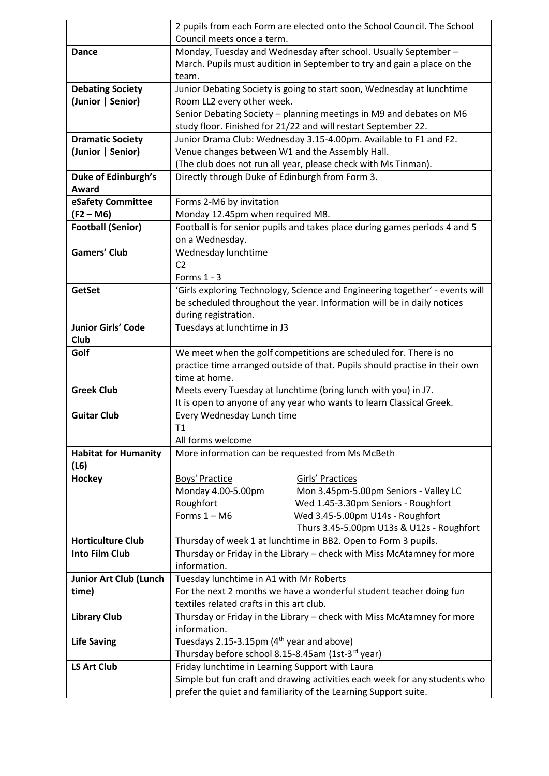|                               | 2 pupils from each Form are elected onto the School Council. The School                                                                          |  |
|-------------------------------|--------------------------------------------------------------------------------------------------------------------------------------------------|--|
|                               | Council meets once a term.                                                                                                                       |  |
| <b>Dance</b>                  | Monday, Tuesday and Wednesday after school. Usually September -                                                                                  |  |
|                               | March. Pupils must audition in September to try and gain a place on the                                                                          |  |
|                               | team.                                                                                                                                            |  |
| <b>Debating Society</b>       | Junior Debating Society is going to start soon, Wednesday at lunchtime                                                                           |  |
| (Junior   Senior)             | Room LL2 every other week.                                                                                                                       |  |
|                               | Senior Debating Society - planning meetings in M9 and debates on M6                                                                              |  |
|                               | study floor. Finished for 21/22 and will restart September 22.                                                                                   |  |
| <b>Dramatic Society</b>       | Junior Drama Club: Wednesday 3.15-4.00pm. Available to F1 and F2.                                                                                |  |
| (Junior   Senior)             | Venue changes between W1 and the Assembly Hall.                                                                                                  |  |
|                               | (The club does not run all year, please check with Ms Tinman).                                                                                   |  |
| <b>Duke of Edinburgh's</b>    | Directly through Duke of Edinburgh from Form 3.                                                                                                  |  |
| Award                         |                                                                                                                                                  |  |
| eSafety Committee             | Forms 2-M6 by invitation                                                                                                                         |  |
| $(F2 - M6)$                   | Monday 12.45pm when required M8.                                                                                                                 |  |
| <b>Football (Senior)</b>      | Football is for senior pupils and takes place during games periods 4 and 5                                                                       |  |
|                               | on a Wednesday.                                                                                                                                  |  |
| <b>Gamers' Club</b>           | Wednesday lunchtime                                                                                                                              |  |
|                               | C <sub>2</sub>                                                                                                                                   |  |
|                               | Forms $1 - 3$                                                                                                                                    |  |
| <b>GetSet</b>                 | 'Girls exploring Technology, Science and Engineering together' - events will                                                                     |  |
|                               | be scheduled throughout the year. Information will be in daily notices                                                                           |  |
|                               | during registration.                                                                                                                             |  |
| <b>Junior Girls' Code</b>     | Tuesdays at lunchtime in J3                                                                                                                      |  |
| Club                          |                                                                                                                                                  |  |
| Golf                          | We meet when the golf competitions are scheduled for. There is no<br>practice time arranged outside of that. Pupils should practise in their own |  |
|                               | time at home.                                                                                                                                    |  |
| <b>Greek Club</b>             | Meets every Tuesday at lunchtime (bring lunch with you) in J7.                                                                                   |  |
|                               | It is open to anyone of any year who wants to learn Classical Greek.                                                                             |  |
| <b>Guitar Club</b>            | Every Wednesday Lunch time                                                                                                                       |  |
|                               | T1                                                                                                                                               |  |
|                               | All forms welcome                                                                                                                                |  |
| <b>Habitat for Humanity</b>   | More information can be requested from Ms McBeth                                                                                                 |  |
| (L6)                          |                                                                                                                                                  |  |
| <b>Hockey</b>                 | <b>Boys' Practice</b><br><b>Girls' Practices</b>                                                                                                 |  |
|                               | Monday 4.00-5.00pm<br>Mon 3.45pm-5.00pm Seniors - Valley LC                                                                                      |  |
|                               | Roughfort<br>Wed 1.45-3.30pm Seniors - Roughfort                                                                                                 |  |
|                               | Forms $1 - M6$<br>Wed 3.45-5.00pm U14s - Roughfort                                                                                               |  |
|                               | Thurs 3.45-5.00pm U13s & U12s - Roughfort                                                                                                        |  |
| <b>Horticulture Club</b>      | Thursday of week 1 at lunchtime in BB2. Open to Form 3 pupils.                                                                                   |  |
| <b>Into Film Club</b>         | Thursday or Friday in the Library - check with Miss McAtamney for more                                                                           |  |
|                               | information.                                                                                                                                     |  |
| <b>Junior Art Club (Lunch</b> | Tuesday lunchtime in A1 with Mr Roberts                                                                                                          |  |
| time)                         | For the next 2 months we have a wonderful student teacher doing fun                                                                              |  |
| <b>Library Club</b>           | textiles related crafts in this art club.<br>Thursday or Friday in the Library - check with Miss McAtamney for more                              |  |
|                               | information.                                                                                                                                     |  |
| <b>Life Saving</b>            | Tuesdays 2.15-3.15pm (4 <sup>th</sup> year and above)                                                                                            |  |
|                               | Thursday before school 8.15-8.45am (1st-3rd year)                                                                                                |  |
| <b>LS Art Club</b>            | Friday lunchtime in Learning Support with Laura                                                                                                  |  |
|                               | Simple but fun craft and drawing activities each week for any students who                                                                       |  |
|                               | prefer the quiet and familiarity of the Learning Support suite.                                                                                  |  |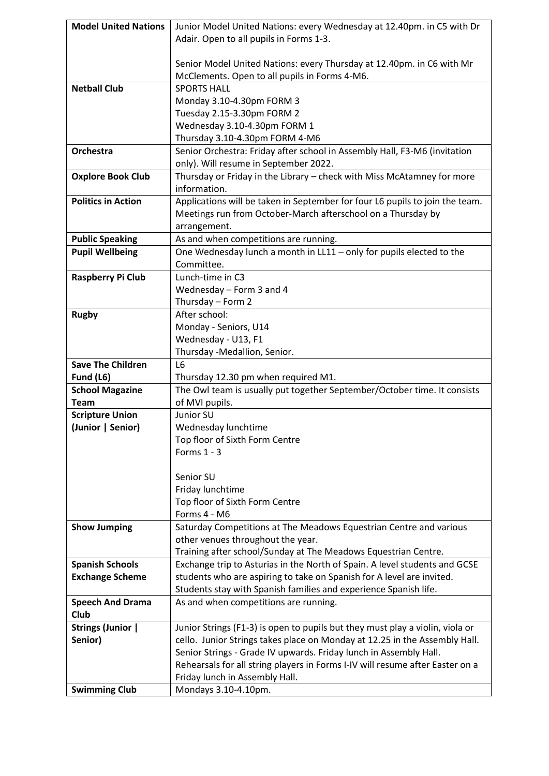| <b>Model United Nations</b>                      | Junior Model United Nations: every Wednesday at 12.40pm. in C5 with Dr                                                                              |
|--------------------------------------------------|-----------------------------------------------------------------------------------------------------------------------------------------------------|
|                                                  | Adair. Open to all pupils in Forms 1-3.                                                                                                             |
|                                                  |                                                                                                                                                     |
|                                                  | Senior Model United Nations: every Thursday at 12.40pm. in C6 with Mr                                                                               |
|                                                  | McClements. Open to all pupils in Forms 4-M6.                                                                                                       |
| <b>Netball Club</b>                              | <b>SPORTS HALL</b>                                                                                                                                  |
|                                                  | Monday 3.10-4.30pm FORM 3                                                                                                                           |
|                                                  | Tuesday 2.15-3.30pm FORM 2                                                                                                                          |
|                                                  | Wednesday 3.10-4.30pm FORM 1                                                                                                                        |
|                                                  | Thursday 3.10-4.30pm FORM 4-M6                                                                                                                      |
| Orchestra                                        | Senior Orchestra: Friday after school in Assembly Hall, F3-M6 (invitation                                                                           |
|                                                  | only). Will resume in September 2022.                                                                                                               |
| <b>Oxplore Book Club</b>                         | Thursday or Friday in the Library - check with Miss McAtamney for more                                                                              |
|                                                  | information.                                                                                                                                        |
| <b>Politics in Action</b>                        | Applications will be taken in September for four L6 pupils to join the team.                                                                        |
|                                                  | Meetings run from October-March afterschool on a Thursday by                                                                                        |
|                                                  | arrangement.                                                                                                                                        |
| <b>Public Speaking</b>                           | As and when competitions are running.                                                                                                               |
| <b>Pupil Wellbeing</b>                           | One Wednesday lunch a month in LL11 - only for pupils elected to the                                                                                |
|                                                  | Committee.                                                                                                                                          |
| Raspberry Pi Club                                | Lunch-time in C3                                                                                                                                    |
|                                                  | Wednesday - Form 3 and 4                                                                                                                            |
|                                                  | Thursday - Form 2                                                                                                                                   |
| <b>Rugby</b>                                     | After school:                                                                                                                                       |
|                                                  | Monday - Seniors, U14                                                                                                                               |
|                                                  | Wednesday - U13, F1                                                                                                                                 |
|                                                  | Thursday -Medallion, Senior.                                                                                                                        |
| <b>Save The Children</b>                         | L <sub>6</sub>                                                                                                                                      |
| Fund (L6)                                        | Thursday 12.30 pm when required M1.                                                                                                                 |
| <b>School Magazine</b>                           | The Owl team is usually put together September/October time. It consists                                                                            |
| <b>Team</b>                                      | of MVI pupils.                                                                                                                                      |
| <b>Scripture Union</b>                           | Junior SU                                                                                                                                           |
| (Junior   Senior)                                | Wednesday lunchtime                                                                                                                                 |
|                                                  | Top floor of Sixth Form Centre                                                                                                                      |
|                                                  | Forms $1 - 3$                                                                                                                                       |
|                                                  |                                                                                                                                                     |
|                                                  | Senior SU                                                                                                                                           |
|                                                  | Friday lunchtime                                                                                                                                    |
|                                                  | Top floor of Sixth Form Centre                                                                                                                      |
|                                                  | Forms 4 - M6                                                                                                                                        |
| <b>Show Jumping</b>                              | Saturday Competitions at The Meadows Equestrian Centre and various                                                                                  |
|                                                  | other venues throughout the year.                                                                                                                   |
|                                                  | Training after school/Sunday at The Meadows Equestrian Centre.                                                                                      |
| <b>Spanish Schools</b><br><b>Exchange Scheme</b> | Exchange trip to Asturias in the North of Spain. A level students and GCSE<br>students who are aspiring to take on Spanish for A level are invited. |
|                                                  | Students stay with Spanish families and experience Spanish life.                                                                                    |
| <b>Speech And Drama</b>                          | As and when competitions are running.                                                                                                               |
| <b>Club</b>                                      |                                                                                                                                                     |
| <b>Strings (Junior  </b>                         | Junior Strings (F1-3) is open to pupils but they must play a violin, viola or                                                                       |
| Senior)                                          | cello. Junior Strings takes place on Monday at 12.25 in the Assembly Hall.                                                                          |
|                                                  | Senior Strings - Grade IV upwards. Friday lunch in Assembly Hall.                                                                                   |
|                                                  | Rehearsals for all string players in Forms I-IV will resume after Easter on a                                                                       |
|                                                  | Friday lunch in Assembly Hall.                                                                                                                      |
| <b>Swimming Club</b>                             | Mondays 3.10-4.10pm.                                                                                                                                |